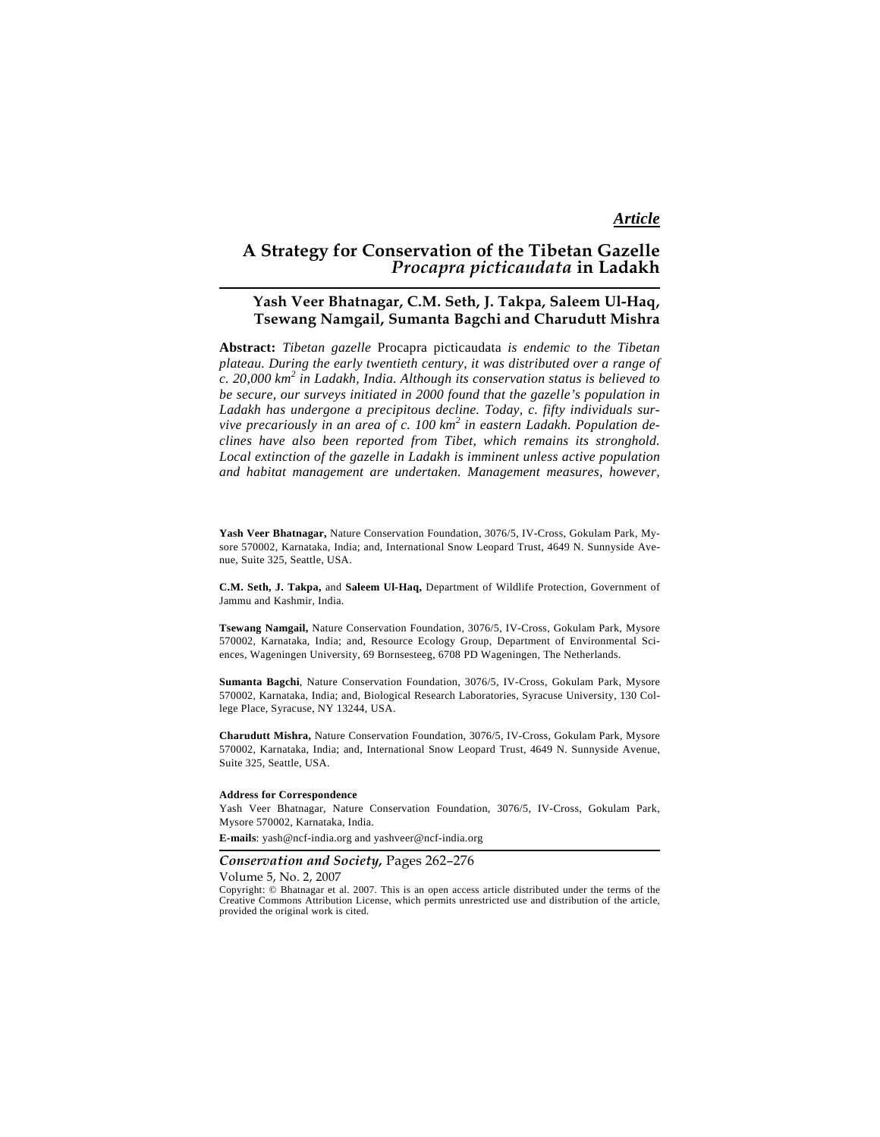# *Article*

# **A Strategy for Conservation of the Tibetan Gazelle**  *Procapra picticaudata* **in Ladakh**

# **Yash Veer Bhatnagar, C.M. Seth, J. Takpa, Saleem Ul-Haq, Tsewang Namgail, Sumanta Bagchi and Charudutt Mishra**

**Abstract:** *Tibetan gazelle* Procapra picticaudata *is endemic to the Tibetan plateau. During the early twentieth century, it was distributed over a range of c. 20,000 km<sup>2</sup> in Ladakh, India. Although its conservation status is believed to be secure, our surveys initiated in 2000 found that the gazelle's population in Ladakh has undergone a precipitous decline. Today, c. fifty individuals survive precariously in an area of c. 100 km<sup>2</sup> in eastern Ladakh. Population declines have also been reported from Tibet, which remains its stronghold. Local extinction of the gazelle in Ladakh is imminent unless active population and habitat management are undertaken. Management measures, however,* 

**Yash Veer Bhatnagar,** Nature Conservation Foundation, 3076/5, IV-Cross, Gokulam Park, Mysore 570002, Karnataka, India; and, International Snow Leopard Trust, 4649 N. Sunnyside Avenue, Suite 325, Seattle, USA.

**C.M. Seth, J. Takpa,** and **Saleem Ul-Haq,** Department of Wildlife Protection, Government of Jammu and Kashmir, India.

**Tsewang Namgail,** Nature Conservation Foundation, 3076/5, IV-Cross, Gokulam Park, Mysore 570002, Karnataka, India; and, Resource Ecology Group, Department of Environmental Sciences, Wageningen University, 69 Bornsesteeg, 6708 PD Wageningen, The Netherlands.

**Sumanta Bagchi**, Nature Conservation Foundation, 3076/5, IV-Cross, Gokulam Park, Mysore 570002, Karnataka, India; and, Biological Research Laboratories, Syracuse University, 130 College Place, Syracuse, NY 13244, USA.

**Charudutt Mishra,** Nature Conservation Foundation, 3076/5, IV-Cross, Gokulam Park, Mysore 570002, Karnataka, India; and, International Snow Leopard Trust, 4649 N. Sunnyside Avenue, Suite 325, Seattle, USA.

### **Address for Correspondence**

Yash Veer Bhatnagar, Nature Conservation Foundation, 3076/5, IV-Cross, Gokulam Park, Mysore 570002, Karnataka, India.

**E-mails**: yash@ncf-india.org and yashveer@ncf-india.org

# *Conservation and Society,* Pages 262–276

Volume 5, No. 2, 2007

Copyright: © Bhatnagar et al. 2007. This is an open access article distributed under the terms of the Creative Commons Attribution License, which permits unrestricted use and distribution of the article, provided the original work is cited.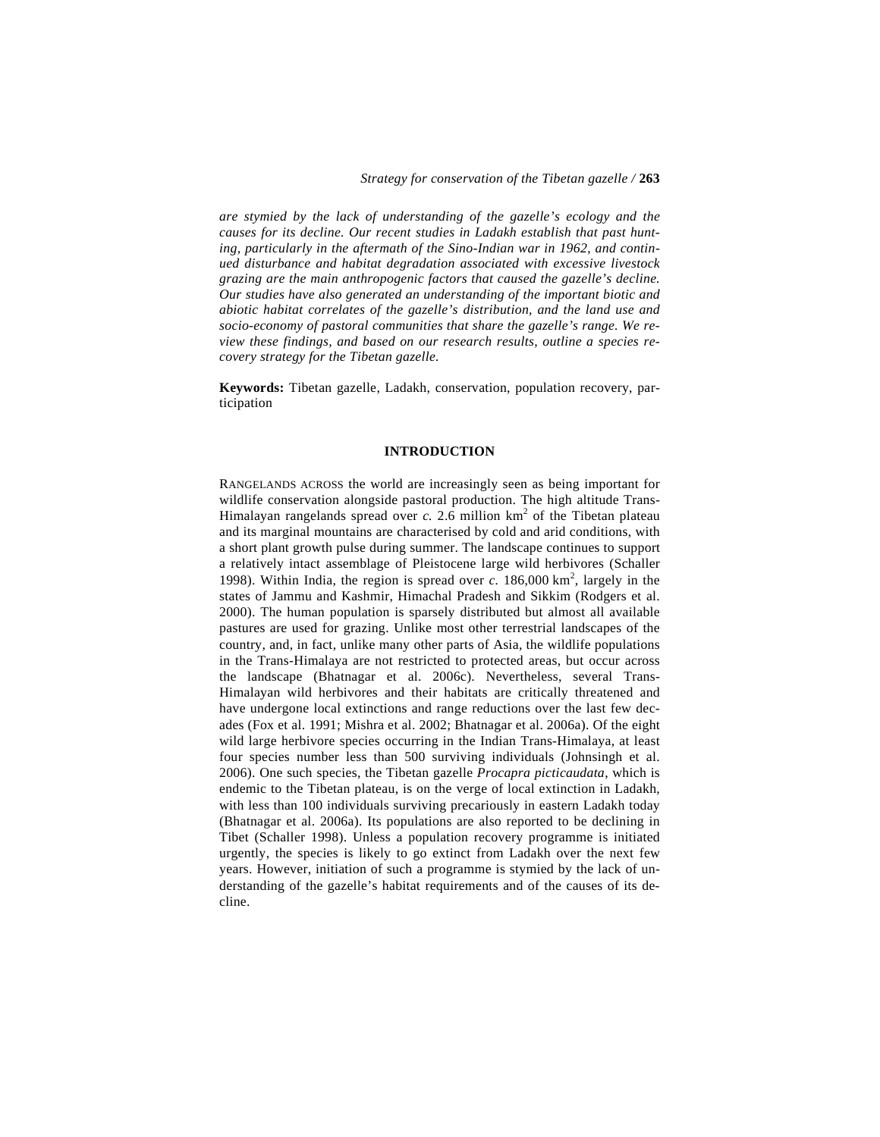*are stymied by the lack of understanding of the gazelle's ecology and the causes for its decline. Our recent studies in Ladakh establish that past hunting, particularly in the aftermath of the Sino-Indian war in 1962, and continued disturbance and habitat degradation associated with excessive livestock grazing are the main anthropogenic factors that caused the gazelle's decline. Our studies have also generated an understanding of the important biotic and abiotic habitat correlates of the gazelle's distribution, and the land use and socio-economy of pastoral communities that share the gazelle's range. We review these findings, and based on our research results, outline a species recovery strategy for the Tibetan gazelle.* 

**Keywords:** Tibetan gazelle, Ladakh, conservation, population recovery, participation

# **INTRODUCTION**

RANGELANDS ACROSS the world are increasingly seen as being important for wildlife conservation alongside pastoral production. The high altitude Trans-Himalayan rangelands spread over  $c$ . 2.6 million  $km<sup>2</sup>$  of the Tibetan plateau and its marginal mountains are characterised by cold and arid conditions, with a short plant growth pulse during summer. The landscape continues to support a relatively intact assemblage of Pleistocene large wild herbivores (Schaller 1998). Within India, the region is spread over  $c$ .  $186,000 \text{ km}^2$ , largely in the states of Jammu and Kashmir, Himachal Pradesh and Sikkim (Rodgers et al. 2000). The human population is sparsely distributed but almost all available pastures are used for grazing. Unlike most other terrestrial landscapes of the country, and, in fact, unlike many other parts of Asia, the wildlife populations in the Trans-Himalaya are not restricted to protected areas, but occur across the landscape (Bhatnagar et al. 2006c). Nevertheless, several Trans-Himalayan wild herbivores and their habitats are critically threatened and have undergone local extinctions and range reductions over the last few decades (Fox et al. 1991; Mishra et al. 2002; Bhatnagar et al. 2006a). Of the eight wild large herbivore species occurring in the Indian Trans-Himalaya, at least four species number less than 500 surviving individuals (Johnsingh et al. 2006). One such species, the Tibetan gazelle *Procapra picticaudata*, which is endemic to the Tibetan plateau, is on the verge of local extinction in Ladakh, with less than 100 individuals surviving precariously in eastern Ladakh today (Bhatnagar et al. 2006a). Its populations are also reported to be declining in Tibet (Schaller 1998). Unless a population recovery programme is initiated urgently, the species is likely to go extinct from Ladakh over the next few years. However, initiation of such a programme is stymied by the lack of understanding of the gazelle's habitat requirements and of the causes of its decline.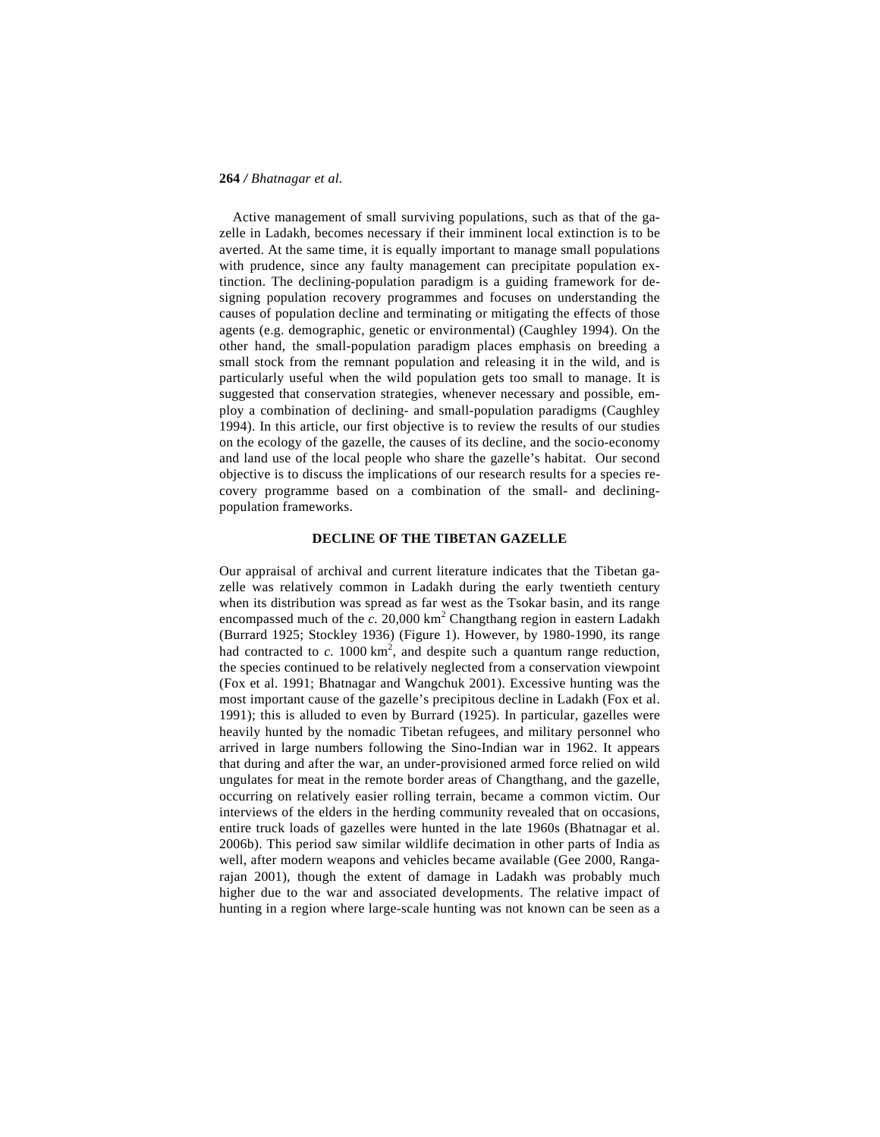Active management of small surviving populations, such as that of the gazelle in Ladakh, becomes necessary if their imminent local extinction is to be averted. At the same time, it is equally important to manage small populations with prudence, since any faulty management can precipitate population extinction. The declining-population paradigm is a guiding framework for designing population recovery programmes and focuses on understanding the causes of population decline and terminating or mitigating the effects of those agents (e.g. demographic, genetic or environmental) (Caughley 1994). On the other hand, the small-population paradigm places emphasis on breeding a small stock from the remnant population and releasing it in the wild, and is particularly useful when the wild population gets too small to manage. It is suggested that conservation strategies, whenever necessary and possible, employ a combination of declining- and small-population paradigms (Caughley 1994). In this article, our first objective is to review the results of our studies on the ecology of the gazelle, the causes of its decline, and the socio-economy and land use of the local people who share the gazelle's habitat. Our second objective is to discuss the implications of our research results for a species recovery programme based on a combination of the small- and decliningpopulation frameworks.

# **DECLINE OF THE TIBETAN GAZELLE**

Our appraisal of archival and current literature indicates that the Tibetan gazelle was relatively common in Ladakh during the early twentieth century when its distribution was spread as far west as the Tsokar basin, and its range encompassed much of the  $c. 20,000 \text{ km}^2$  Changthang region in eastern Ladakh (Burrard 1925; Stockley 1936) (Figure 1). However, by 1980-1990, its range had contracted to  $c$ . 1000 km<sup>2</sup>, and despite such a quantum range reduction, the species continued to be relatively neglected from a conservation viewpoint (Fox et al. 1991; Bhatnagar and Wangchuk 2001). Excessive hunting was the most important cause of the gazelle's precipitous decline in Ladakh (Fox et al. 1991); this is alluded to even by Burrard (1925). In particular, gazelles were heavily hunted by the nomadic Tibetan refugees, and military personnel who arrived in large numbers following the Sino-Indian war in 1962. It appears that during and after the war, an under-provisioned armed force relied on wild ungulates for meat in the remote border areas of Changthang, and the gazelle, occurring on relatively easier rolling terrain, became a common victim. Our interviews of the elders in the herding community revealed that on occasions, entire truck loads of gazelles were hunted in the late 1960s (Bhatnagar et al. 2006b). This period saw similar wildlife decimation in other parts of India as well, after modern weapons and vehicles became available (Gee 2000, Rangarajan 2001), though the extent of damage in Ladakh was probably much higher due to the war and associated developments. The relative impact of hunting in a region where large-scale hunting was not known can be seen as a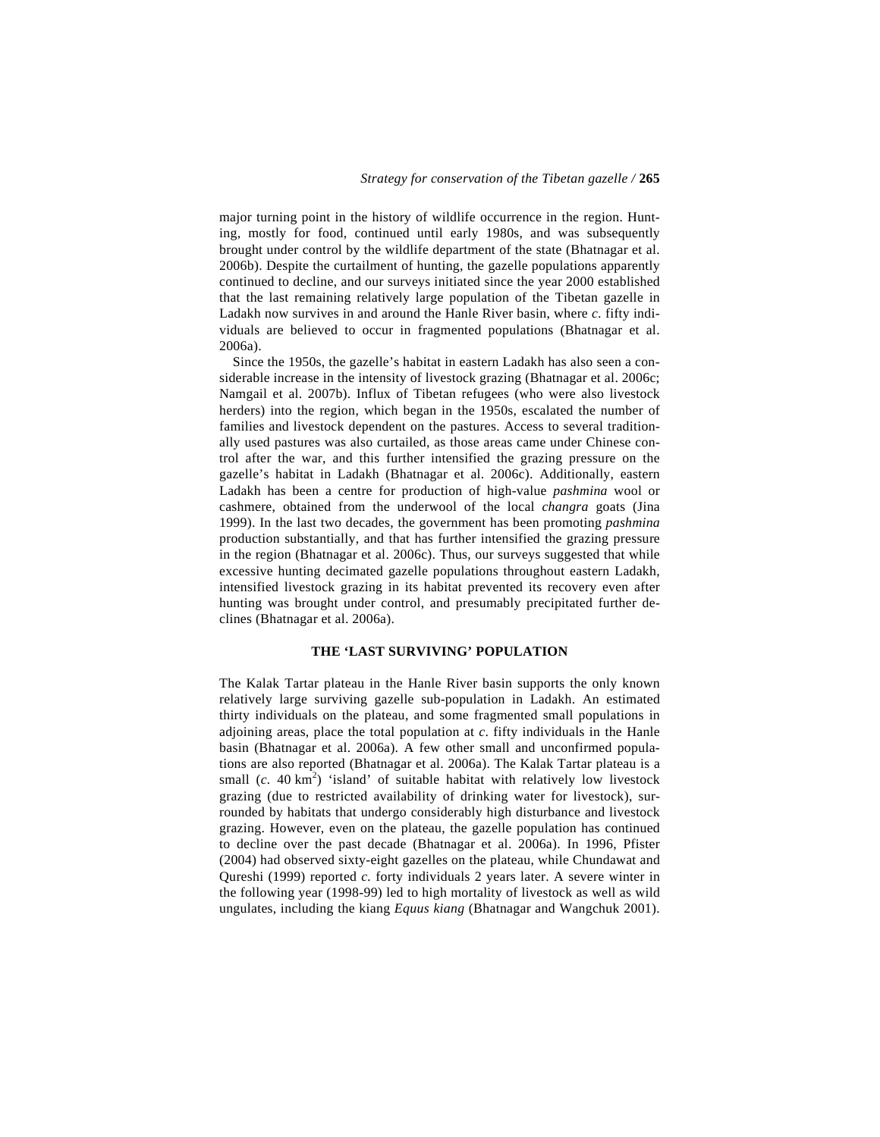major turning point in the history of wildlife occurrence in the region. Hunting, mostly for food, continued until early 1980s, and was subsequently brought under control by the wildlife department of the state (Bhatnagar et al. 2006b). Despite the curtailment of hunting, the gazelle populations apparently continued to decline, and our surveys initiated since the year 2000 established that the last remaining relatively large population of the Tibetan gazelle in Ladakh now survives in and around the Hanle River basin, where *c.* fifty individuals are believed to occur in fragmented populations (Bhatnagar et al. 2006a).

 Since the 1950s, the gazelle's habitat in eastern Ladakh has also seen a considerable increase in the intensity of livestock grazing (Bhatnagar et al. 2006c; Namgail et al. 2007b). Influx of Tibetan refugees (who were also livestock herders) into the region, which began in the 1950s, escalated the number of families and livestock dependent on the pastures. Access to several traditionally used pastures was also curtailed, as those areas came under Chinese control after the war, and this further intensified the grazing pressure on the gazelle's habitat in Ladakh (Bhatnagar et al. 2006c). Additionally, eastern Ladakh has been a centre for production of high-value *pashmina* wool or cashmere, obtained from the underwool of the local *changra* goats (Jina 1999). In the last two decades, the government has been promoting *pashmina*  production substantially, and that has further intensified the grazing pressure in the region (Bhatnagar et al. 2006c). Thus, our surveys suggested that while excessive hunting decimated gazelle populations throughout eastern Ladakh, intensified livestock grazing in its habitat prevented its recovery even after hunting was brought under control, and presumably precipitated further declines (Bhatnagar et al. 2006a).

### **THE 'LAST SURVIVING' POPULATION**

The Kalak Tartar plateau in the Hanle River basin supports the only known relatively large surviving gazelle sub-population in Ladakh. An estimated thirty individuals on the plateau, and some fragmented small populations in adjoining areas, place the total population at *c*. fifty individuals in the Hanle basin (Bhatnagar et al. 2006a). A few other small and unconfirmed populations are also reported (Bhatnagar et al. 2006a). The Kalak Tartar plateau is a small  $(c. 40 \text{ km}^2)$  'island' of suitable habitat with relatively low livestock grazing (due to restricted availability of drinking water for livestock), surrounded by habitats that undergo considerably high disturbance and livestock grazing. However, even on the plateau, the gazelle population has continued to decline over the past decade (Bhatnagar et al. 2006a). In 1996, Pfister (2004) had observed sixty-eight gazelles on the plateau, while Chundawat and Qureshi (1999) reported *c.* forty individuals 2 years later. A severe winter in the following year (1998-99) led to high mortality of livestock as well as wild ungulates, including the kiang *Equus kiang* (Bhatnagar and Wangchuk 2001).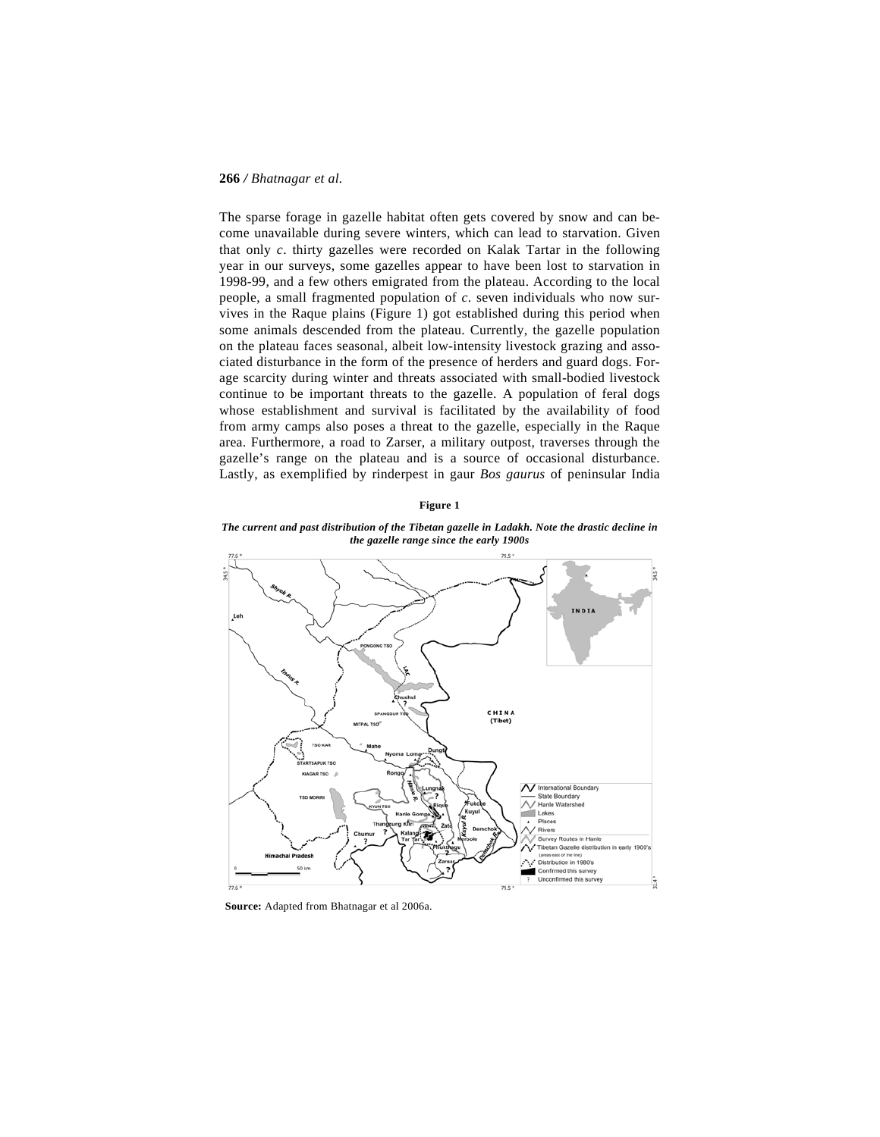The sparse forage in gazelle habitat often gets covered by snow and can become unavailable during severe winters, which can lead to starvation. Given that only *c*. thirty gazelles were recorded on Kalak Tartar in the following year in our surveys, some gazelles appear to have been lost to starvation in 1998-99, and a few others emigrated from the plateau. According to the local people, a small fragmented population of *c*. seven individuals who now survives in the Raque plains (Figure 1) got established during this period when some animals descended from the plateau. Currently, the gazelle population on the plateau faces seasonal, albeit low-intensity livestock grazing and associated disturbance in the form of the presence of herders and guard dogs. Forage scarcity during winter and threats associated with small-bodied livestock continue to be important threats to the gazelle. A population of feral dogs whose establishment and survival is facilitated by the availability of food from army camps also poses a threat to the gazelle, especially in the Raque area. Furthermore, a road to Zarser, a military outpost, traverses through the gazelle's range on the plateau and is a source of occasional disturbance. Lastly, as exemplified by rinderpest in gaur *Bos gaurus* of peninsular India

### **Figure 1**

*The current and past distribution of the Tibetan gazelle in Ladakh. Note the drastic decline in the gazelle range since the early 1900s* 



**Source:** Adapted from Bhatnagar et al 2006a.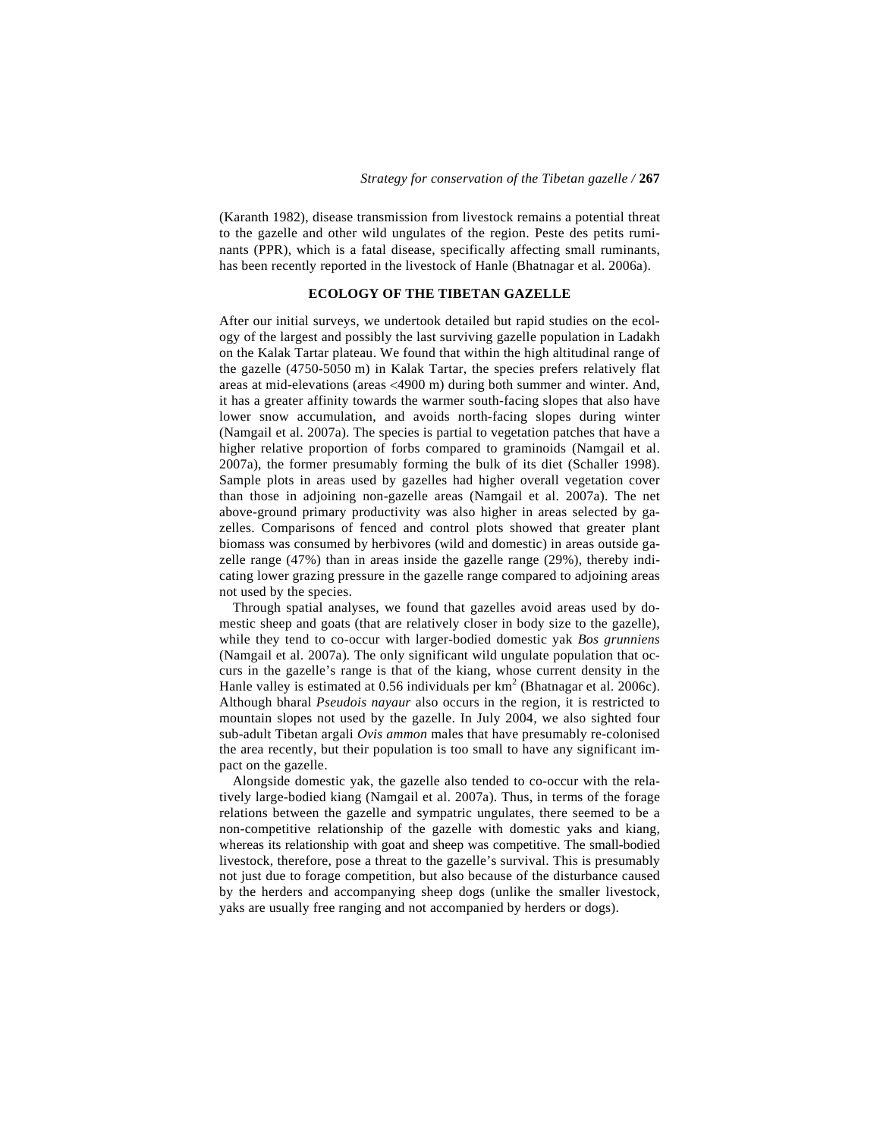(Karanth 1982), disease transmission from livestock remains a potential threat to the gazelle and other wild ungulates of the region. Peste des petits ruminants (PPR), which is a fatal disease, specifically affecting small ruminants, has been recently reported in the livestock of Hanle (Bhatnagar et al. 2006a).

# **ECOLOGY OF THE TIBETAN GAZELLE**

After our initial surveys, we undertook detailed but rapid studies on the ecology of the largest and possibly the last surviving gazelle population in Ladakh on the Kalak Tartar plateau. We found that within the high altitudinal range of the gazelle (4750-5050 m) in Kalak Tartar, the species prefers relatively flat areas at mid-elevations (areas <4900 m) during both summer and winter. And, it has a greater affinity towards the warmer south-facing slopes that also have lower snow accumulation, and avoids north-facing slopes during winter (Namgail et al. 2007a). The species is partial to vegetation patches that have a higher relative proportion of forbs compared to graminoids (Namgail et al. 2007a), the former presumably forming the bulk of its diet (Schaller 1998). Sample plots in areas used by gazelles had higher overall vegetation cover than those in adjoining non-gazelle areas (Namgail et al. 2007a). The net above-ground primary productivity was also higher in areas selected by gazelles. Comparisons of fenced and control plots showed that greater plant biomass was consumed by herbivores (wild and domestic) in areas outside gazelle range (47%) than in areas inside the gazelle range (29%), thereby indicating lower grazing pressure in the gazelle range compared to adjoining areas not used by the species.

 Through spatial analyses, we found that gazelles avoid areas used by domestic sheep and goats (that are relatively closer in body size to the gazelle), while they tend to co-occur with larger-bodied domestic yak *Bos grunniens* (Namgail et al. 2007a)*.* The only significant wild ungulate population that occurs in the gazelle's range is that of the kiang, whose current density in the Hanle valley is estimated at 0.56 individuals per  $km^2$  (Bhatnagar et al. 2006c). Although bharal *Pseudois nayaur* also occurs in the region, it is restricted to mountain slopes not used by the gazelle. In July 2004, we also sighted four sub-adult Tibetan argali *Ovis ammon* males that have presumably re-colonised the area recently, but their population is too small to have any significant impact on the gazelle.

 Alongside domestic yak, the gazelle also tended to co-occur with the relatively large-bodied kiang (Namgail et al. 2007a). Thus, in terms of the forage relations between the gazelle and sympatric ungulates, there seemed to be a non-competitive relationship of the gazelle with domestic yaks and kiang, whereas its relationship with goat and sheep was competitive. The small-bodied livestock, therefore, pose a threat to the gazelle's survival. This is presumably not just due to forage competition, but also because of the disturbance caused by the herders and accompanying sheep dogs (unlike the smaller livestock, yaks are usually free ranging and not accompanied by herders or dogs).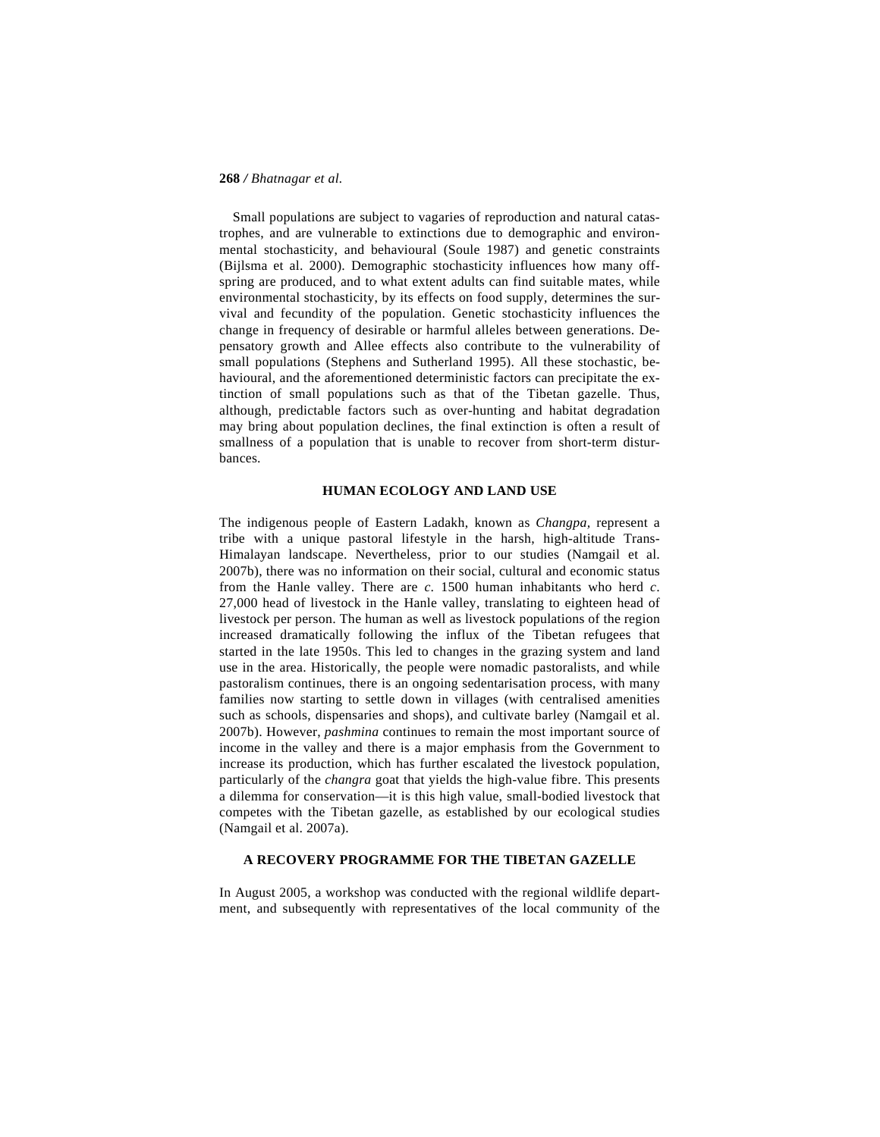Small populations are subject to vagaries of reproduction and natural catastrophes, and are vulnerable to extinctions due to demographic and environmental stochasticity, and behavioural (Soule 1987) and genetic constraints (Bijlsma et al. 2000). Demographic stochasticity influences how many offspring are produced, and to what extent adults can find suitable mates, while environmental stochasticity, by its effects on food supply, determines the survival and fecundity of the population. Genetic stochasticity influences the change in frequency of desirable or harmful alleles between generations. Depensatory growth and Allee effects also contribute to the vulnerability of small populations (Stephens and Sutherland 1995). All these stochastic, behavioural, and the aforementioned deterministic factors can precipitate the extinction of small populations such as that of the Tibetan gazelle. Thus, although, predictable factors such as over-hunting and habitat degradation may bring about population declines, the final extinction is often a result of smallness of a population that is unable to recover from short-term disturbances.

# **HUMAN ECOLOGY AND LAND USE**

The indigenous people of Eastern Ladakh, known as *Changpa,* represent a tribe with a unique pastoral lifestyle in the harsh, high-altitude Trans-Himalayan landscape. Nevertheless, prior to our studies (Namgail et al. 2007b), there was no information on their social, cultural and economic status from the Hanle valley. There are *c*. 1500 human inhabitants who herd *c*. 27,000 head of livestock in the Hanle valley, translating to eighteen head of livestock per person. The human as well as livestock populations of the region increased dramatically following the influx of the Tibetan refugees that started in the late 1950s. This led to changes in the grazing system and land use in the area. Historically, the people were nomadic pastoralists, and while pastoralism continues, there is an ongoing sedentarisation process, with many families now starting to settle down in villages (with centralised amenities such as schools, dispensaries and shops), and cultivate barley (Namgail et al. 2007b). However, *pashmina* continues to remain the most important source of income in the valley and there is a major emphasis from the Government to increase its production, which has further escalated the livestock population, particularly of the *changra* goat that yields the high-value fibre. This presents a dilemma for conservation—it is this high value, small-bodied livestock that competes with the Tibetan gazelle, as established by our ecological studies (Namgail et al. 2007a).

# **A RECOVERY PROGRAMME FOR THE TIBETAN GAZELLE**

In August 2005, a workshop was conducted with the regional wildlife department, and subsequently with representatives of the local community of the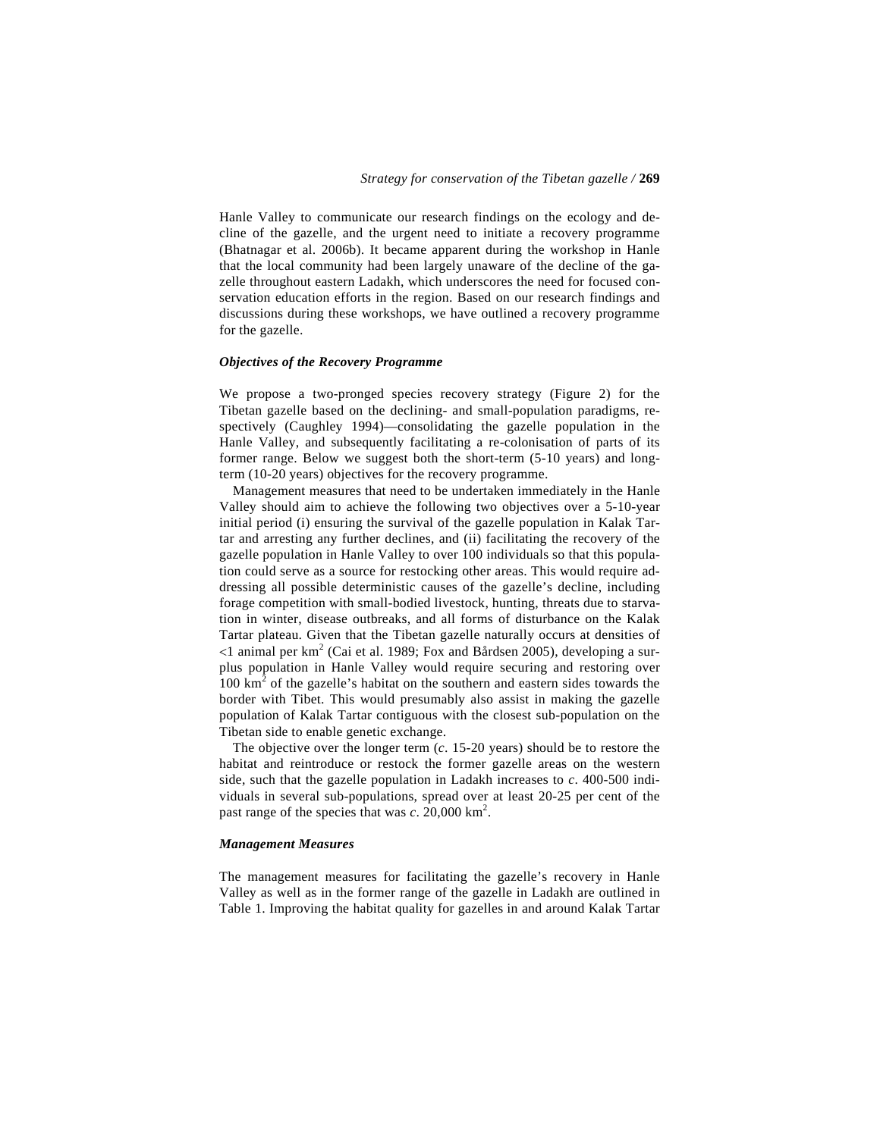Hanle Valley to communicate our research findings on the ecology and decline of the gazelle, and the urgent need to initiate a recovery programme (Bhatnagar et al. 2006b). It became apparent during the workshop in Hanle that the local community had been largely unaware of the decline of the gazelle throughout eastern Ladakh, which underscores the need for focused conservation education efforts in the region. Based on our research findings and discussions during these workshops, we have outlined a recovery programme for the gazelle.

### *Objectives of the Recovery Programme*

We propose a two-pronged species recovery strategy (Figure 2) for the Tibetan gazelle based on the declining- and small-population paradigms, respectively (Caughley 1994)—consolidating the gazelle population in the Hanle Valley, and subsequently facilitating a re-colonisation of parts of its former range. Below we suggest both the short-term (5-10 years) and longterm (10-20 years) objectives for the recovery programme.

 Management measures that need to be undertaken immediately in the Hanle Valley should aim to achieve the following two objectives over a 5-10-year initial period (i) ensuring the survival of the gazelle population in Kalak Tartar and arresting any further declines, and (ii) facilitating the recovery of the gazelle population in Hanle Valley to over 100 individuals so that this population could serve as a source for restocking other areas. This would require addressing all possible deterministic causes of the gazelle's decline, including forage competition with small-bodied livestock, hunting, threats due to starvation in winter, disease outbreaks, and all forms of disturbance on the Kalak Tartar plateau. Given that the Tibetan gazelle naturally occurs at densities of  $1$  animal per km<sup>2</sup> (Cai et al. 1989; Fox and Bårdsen 2005), developing a surplus population in Hanle Valley would require securing and restoring over  $100 \text{ km}^2$  of the gazelle's habitat on the southern and eastern sides towards the border with Tibet. This would presumably also assist in making the gazelle population of Kalak Tartar contiguous with the closest sub-population on the Tibetan side to enable genetic exchange.

 The objective over the longer term (*c*. 15-20 years) should be to restore the habitat and reintroduce or restock the former gazelle areas on the western side, such that the gazelle population in Ladakh increases to *c*. 400-500 individuals in several sub-populations, spread over at least 20-25 per cent of the past range of the species that was  $c$ . 20,000 km<sup>2</sup>.

### *Management Measures*

The management measures for facilitating the gazelle's recovery in Hanle Valley as well as in the former range of the gazelle in Ladakh are outlined in Table 1. Improving the habitat quality for gazelles in and around Kalak Tartar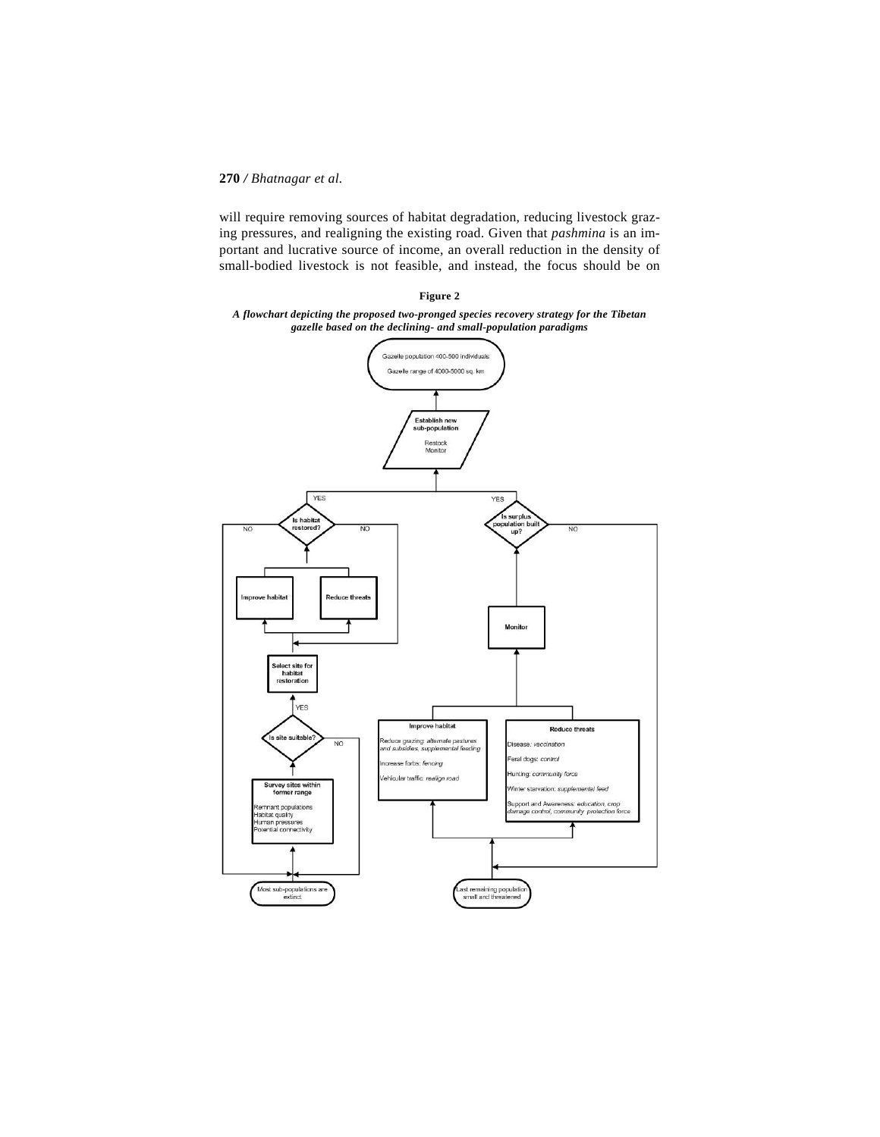will require removing sources of habitat degradation, reducing livestock grazing pressures, and realigning the existing road. Given that *pashmina* is an important and lucrative source of income, an overall reduction in the density of small-bodied livestock is not feasible, and instead, the focus should be on

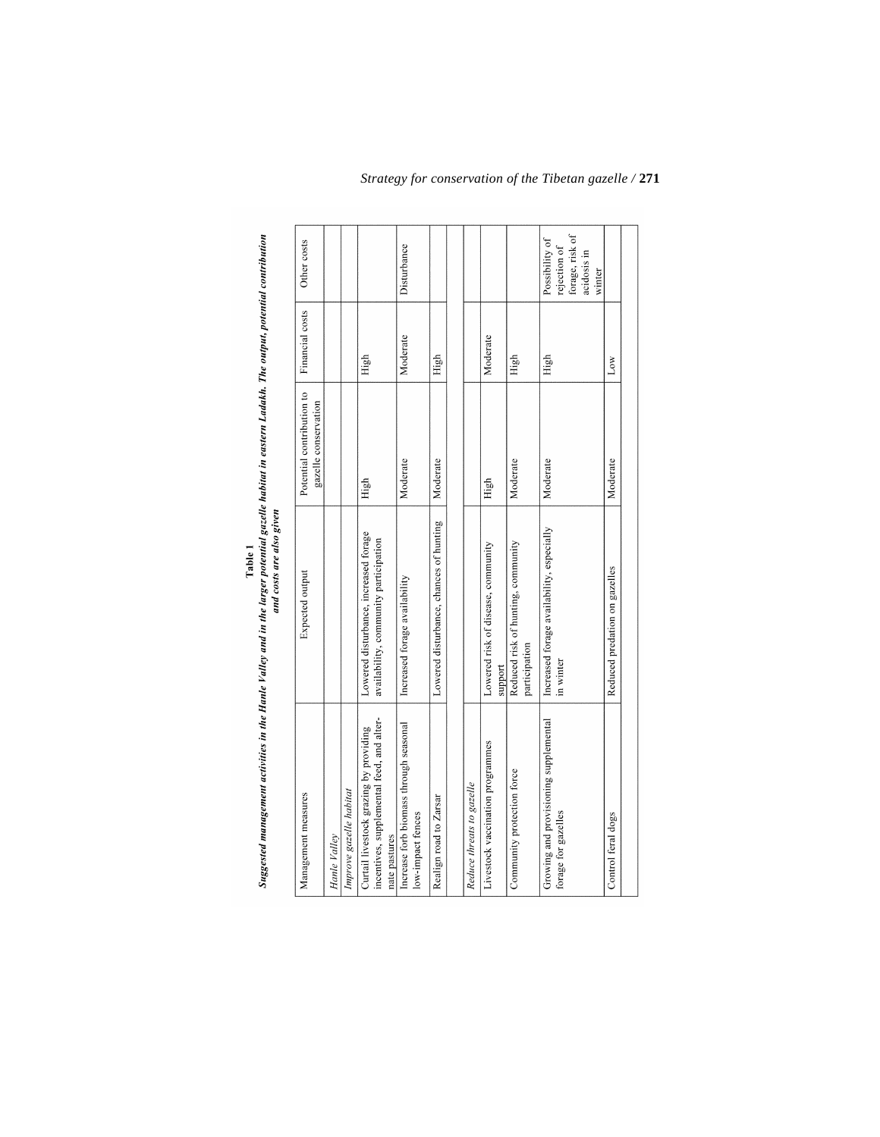|                                                                                                      | and costs are also given                                                       |                                                   |                 |                                                                            |
|------------------------------------------------------------------------------------------------------|--------------------------------------------------------------------------------|---------------------------------------------------|-----------------|----------------------------------------------------------------------------|
| Management measures                                                                                  | <b>Expected output</b>                                                         | Potential contribution to<br>gazelle conservation | Financial costs | Other costs                                                                |
| Hanle Valley                                                                                         |                                                                                |                                                   |                 |                                                                            |
| Improve gazelle habitat                                                                              |                                                                                |                                                   |                 |                                                                            |
| incentives, supplemental feed, and alter-<br>Curtail livestock grazing by providing<br>nate pastures | Lowered disturbance, increased forage<br>availability, community participation | High                                              | High            |                                                                            |
| Increase forb biomass through seasonal<br>low-impact fences                                          | Increased forage availability                                                  | Moderate                                          | Moderate        | Disturbance                                                                |
| Realign road to Zarsar                                                                               | Lowered disturbance, chances of hunting                                        | Moderate                                          | High            |                                                                            |
|                                                                                                      |                                                                                |                                                   |                 |                                                                            |
| Reduce threats to gazelle                                                                            |                                                                                |                                                   |                 |                                                                            |
| Livestock vaccination programmes                                                                     | Lowered risk of disease, community<br>support                                  | High                                              | Moderate        |                                                                            |
| Community protection force                                                                           | Reduced risk of hunting, community<br>participation                            | Moderate                                          | High            |                                                                            |
| Growing and provisioning supplemental<br>forage for gazelles                                         | Increased forage availability, especially<br>in winter                         | Moderate                                          | High            | forage, risk of<br>Possibility of<br>rejection of<br>acidosis in<br>winter |
| Control feral dogs                                                                                   | Reduced predation on gazelles                                                  | Moderate                                          | Low             |                                                                            |
|                                                                                                      |                                                                                |                                                   |                 |                                                                            |

# Table 1<br>Suggested management activities in the Hanle Valley and in the larger potential gazelle habitat in eastern Ladakh. The output, potential contribution

*Strategy for conservation of the Tibetan gazelle /* **271**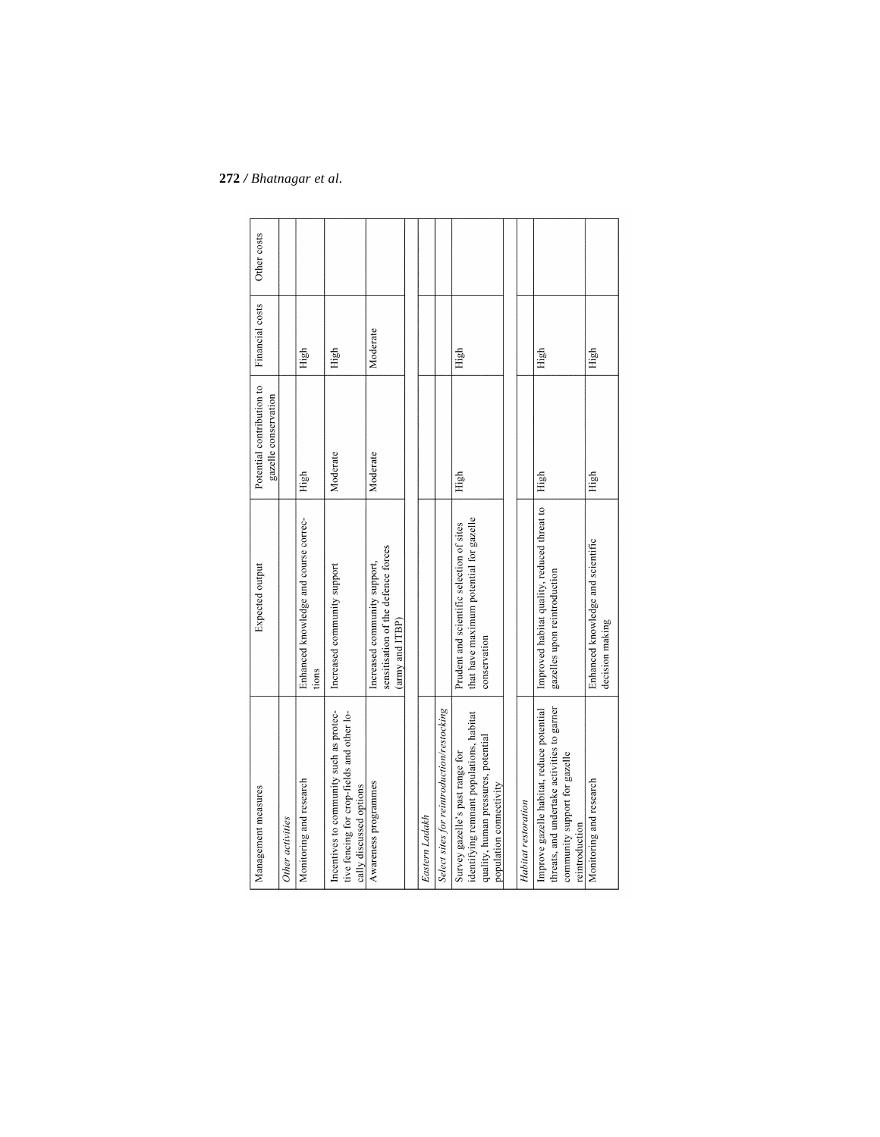| Management measures                                                                                                                           | Expected output                                                                                      | Potential contribution to<br>gazelle conservation | Financial costs | Other costs |
|-----------------------------------------------------------------------------------------------------------------------------------------------|------------------------------------------------------------------------------------------------------|---------------------------------------------------|-----------------|-------------|
| Other activities                                                                                                                              |                                                                                                      |                                                   |                 |             |
| Monitoring and research                                                                                                                       | Enhanced knowledge and course correc-<br>tions                                                       | High                                              | High            |             |
| Incentives to community such as protec-<br>tive fencing for crop-fields and other lo-<br>cally discussed options                              | Increased community support                                                                          | Moderate                                          | High            |             |
| Awareness programmes                                                                                                                          | sensitisation of the defence forces<br>Increased community support,<br>(army and ITBP)               | Moderate                                          | Moderate        |             |
|                                                                                                                                               |                                                                                                      |                                                   |                 |             |
| Eastern Ladakh                                                                                                                                |                                                                                                      |                                                   |                 |             |
| Select sites for reintroduction/restocking                                                                                                    |                                                                                                      |                                                   |                 |             |
| identifying remnant populations, habitat<br>quality, human pressures, potential<br>Survey gazelle's past range for<br>population connectivity | that have maximum potential for gazelle<br>Prudent and scientific selection of sites<br>conservation | High                                              | High            |             |
|                                                                                                                                               |                                                                                                      |                                                   |                 |             |
| Habitat restoration                                                                                                                           |                                                                                                      |                                                   |                 |             |
| threats, and undertake activities to garner<br>Improve gazelle habitat, reduce potential<br>community support for gazelle<br>reintroduction   | Improved habitat quality, reduced threat to<br>gazelles upon reintroduction                          | High                                              | High            |             |
| Monitoring and research                                                                                                                       | Enhanced knowledge and scientific<br>decision making                                                 | High                                              | High            |             |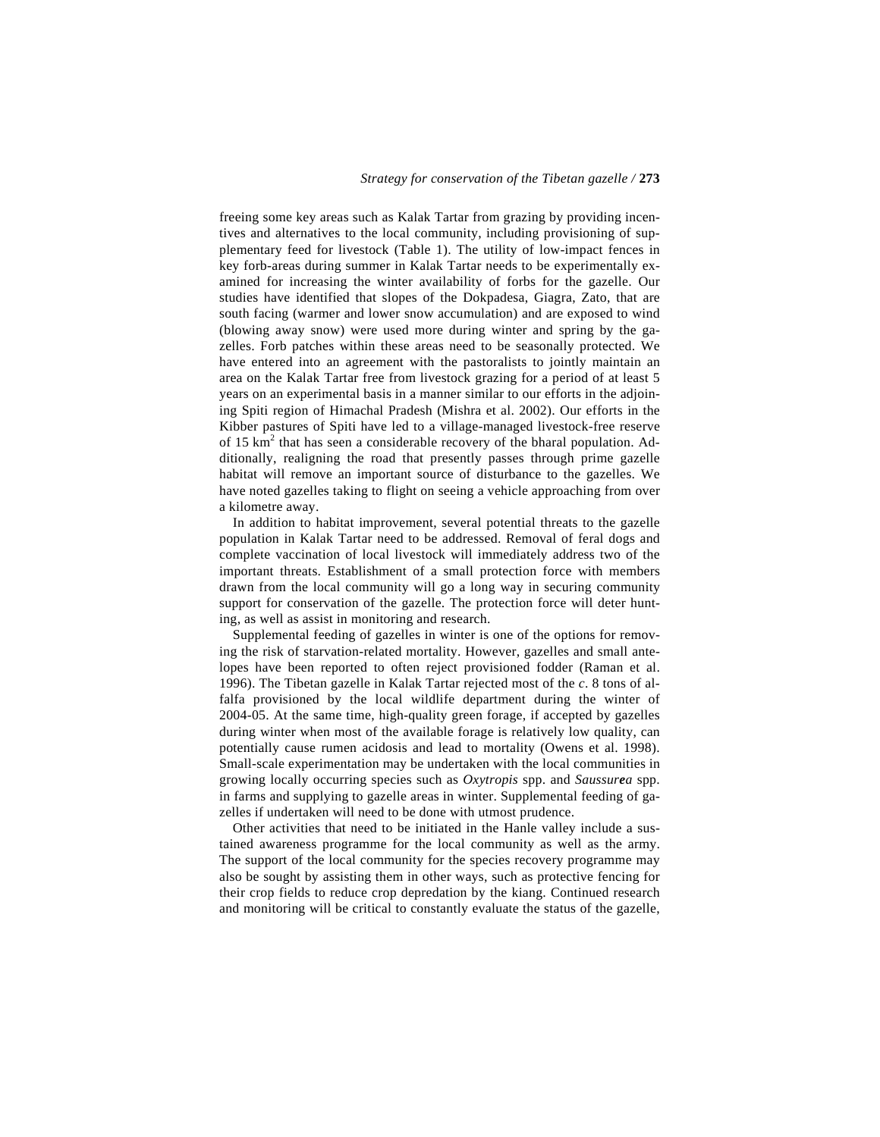freeing some key areas such as Kalak Tartar from grazing by providing incentives and alternatives to the local community, including provisioning of supplementary feed for livestock (Table 1). The utility of low-impact fences in key forb-areas during summer in Kalak Tartar needs to be experimentally examined for increasing the winter availability of forbs for the gazelle. Our studies have identified that slopes of the Dokpadesa, Giagra, Zato, that are south facing (warmer and lower snow accumulation) and are exposed to wind (blowing away snow) were used more during winter and spring by the gazelles. Forb patches within these areas need to be seasonally protected. We have entered into an agreement with the pastoralists to jointly maintain an area on the Kalak Tartar free from livestock grazing for a period of at least 5 years on an experimental basis in a manner similar to our efforts in the adjoining Spiti region of Himachal Pradesh (Mishra et al. 2002). Our efforts in the Kibber pastures of Spiti have led to a village-managed livestock-free reserve of 15  $\text{km}^2$  that has seen a considerable recovery of the bharal population. Additionally, realigning the road that presently passes through prime gazelle habitat will remove an important source of disturbance to the gazelles. We have noted gazelles taking to flight on seeing a vehicle approaching from over a kilometre away.

 In addition to habitat improvement, several potential threats to the gazelle population in Kalak Tartar need to be addressed. Removal of feral dogs and complete vaccination of local livestock will immediately address two of the important threats. Establishment of a small protection force with members drawn from the local community will go a long way in securing community support for conservation of the gazelle. The protection force will deter hunting, as well as assist in monitoring and research.

 Supplemental feeding of gazelles in winter is one of the options for removing the risk of starvation-related mortality. However, gazelles and small antelopes have been reported to often reject provisioned fodder (Raman et al. 1996). The Tibetan gazelle in Kalak Tartar rejected most of the *c*. 8 tons of alfalfa provisioned by the local wildlife department during the winter of 2004-05. At the same time, high-quality green forage, if accepted by gazelles during winter when most of the available forage is relatively low quality, can potentially cause rumen acidosis and lead to mortality (Owens et al. 1998). Small-scale experimentation may be undertaken with the local communities in growing locally occurring species such as *Oxytropis* spp. and *Saussurea* spp. in farms and supplying to gazelle areas in winter. Supplemental feeding of gazelles if undertaken will need to be done with utmost prudence.

 Other activities that need to be initiated in the Hanle valley include a sustained awareness programme for the local community as well as the army. The support of the local community for the species recovery programme may also be sought by assisting them in other ways, such as protective fencing for their crop fields to reduce crop depredation by the kiang. Continued research and monitoring will be critical to constantly evaluate the status of the gazelle,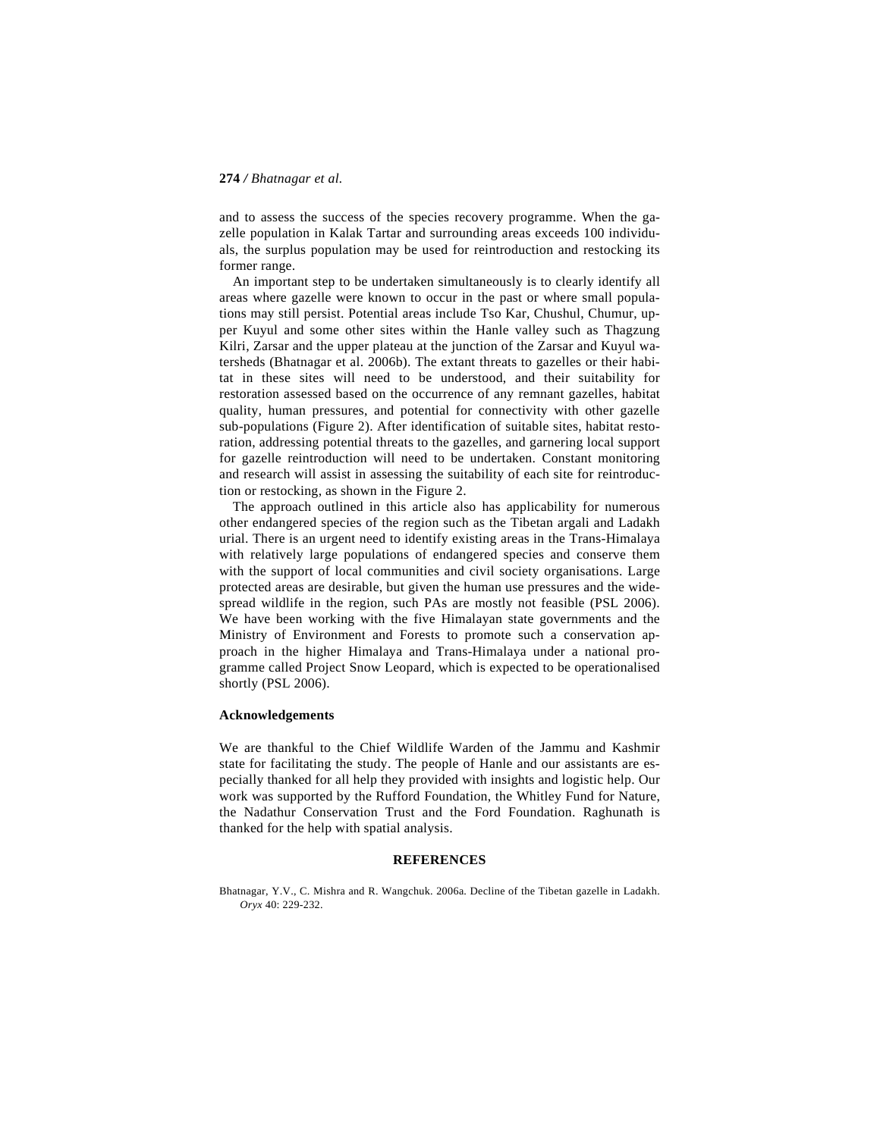and to assess the success of the species recovery programme. When the gazelle population in Kalak Tartar and surrounding areas exceeds 100 individuals, the surplus population may be used for reintroduction and restocking its former range.

 An important step to be undertaken simultaneously is to clearly identify all areas where gazelle were known to occur in the past or where small populations may still persist. Potential areas include Tso Kar, Chushul, Chumur, upper Kuyul and some other sites within the Hanle valley such as Thagzung Kilri, Zarsar and the upper plateau at the junction of the Zarsar and Kuyul watersheds (Bhatnagar et al. 2006b). The extant threats to gazelles or their habitat in these sites will need to be understood, and their suitability for restoration assessed based on the occurrence of any remnant gazelles, habitat quality, human pressures, and potential for connectivity with other gazelle sub-populations (Figure 2). After identification of suitable sites, habitat restoration, addressing potential threats to the gazelles, and garnering local support for gazelle reintroduction will need to be undertaken. Constant monitoring and research will assist in assessing the suitability of each site for reintroduction or restocking, as shown in the Figure 2.

 The approach outlined in this article also has applicability for numerous other endangered species of the region such as the Tibetan argali and Ladakh urial. There is an urgent need to identify existing areas in the Trans-Himalaya with relatively large populations of endangered species and conserve them with the support of local communities and civil society organisations. Large protected areas are desirable, but given the human use pressures and the widespread wildlife in the region, such PAs are mostly not feasible (PSL 2006). We have been working with the five Himalayan state governments and the Ministry of Environment and Forests to promote such a conservation approach in the higher Himalaya and Trans-Himalaya under a national programme called Project Snow Leopard, which is expected to be operationalised shortly (PSL 2006).

### **Acknowledgements**

We are thankful to the Chief Wildlife Warden of the Jammu and Kashmir state for facilitating the study. The people of Hanle and our assistants are especially thanked for all help they provided with insights and logistic help. Our work was supported by the Rufford Foundation, the Whitley Fund for Nature, the Nadathur Conservation Trust and the Ford Foundation. Raghunath is thanked for the help with spatial analysis.

### **REFERENCES**

Bhatnagar, Y.V., C. Mishra and R. Wangchuk. 2006a. Decline of the Tibetan gazelle in Ladakh. *Oryx* 40: 229-232.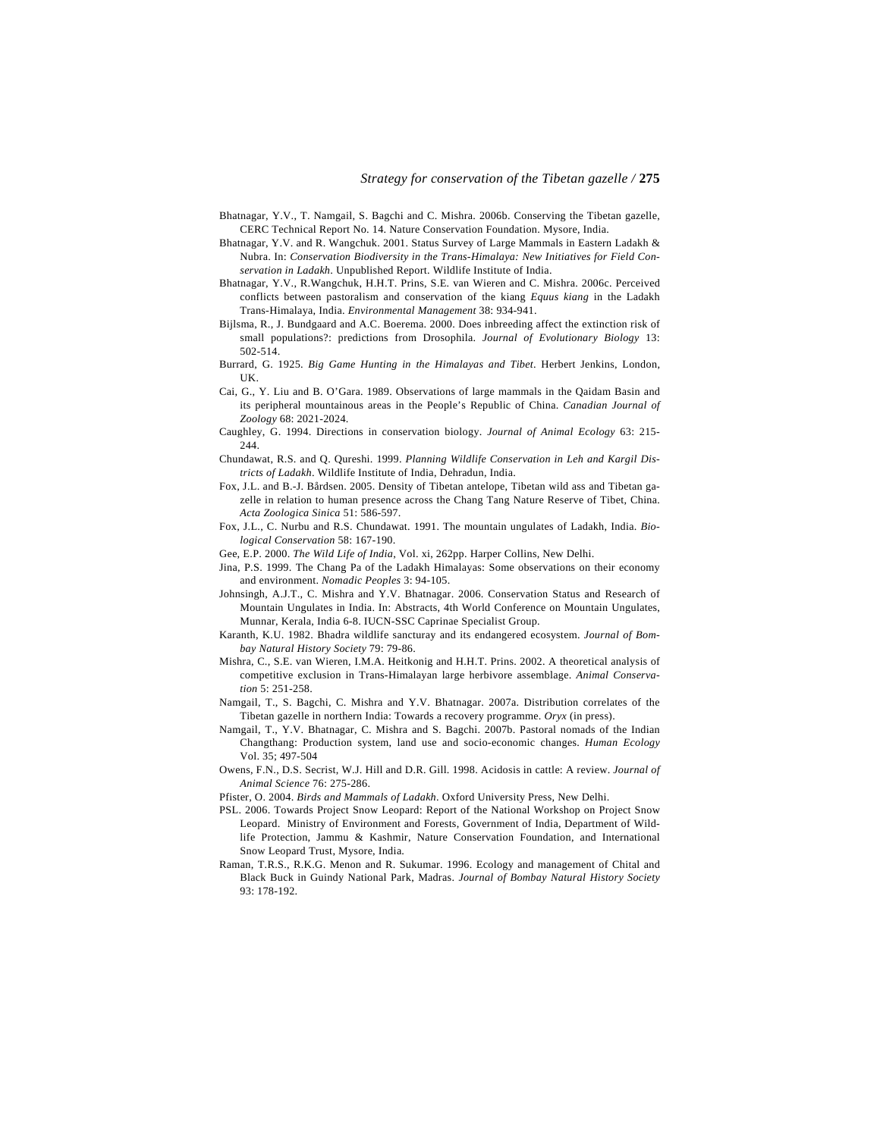- Bhatnagar, Y.V., T. Namgail, S. Bagchi and C. Mishra. 2006b. Conserving the Tibetan gazelle, CERC Technical Report No. 14. Nature Conservation Foundation. Mysore, India.
- Bhatnagar, Y.V. and R. Wangchuk. 2001. Status Survey of Large Mammals in Eastern Ladakh & Nubra. In: *Conservation Biodiversity in the Trans-Himalaya: New Initiatives for Field Conservation in Ladakh*. Unpublished Report. Wildlife Institute of India.
- Bhatnagar, Y.V., R.Wangchuk, H.H.T. Prins, S.E. van Wieren and C. Mishra. 2006c. Perceived conflicts between pastoralism and conservation of the kiang *Equus kiang* in the Ladakh Trans-Himalaya, India. *Environmental Management* 38: 934-941.
- Bijlsma, R., J. Bundgaard and A.C. Boerema. 2000. Does inbreeding affect the extinction risk of small populations?: predictions from Drosophila. *Journal of Evolutionary Biology* 13: 502-514.
- Burrard, G. 1925. *Big Game Hunting in the Himalayas and Tibet*. Herbert Jenkins, London, UK.
- Cai, G., Y. Liu and B. O'Gara. 1989. Observations of large mammals in the Qaidam Basin and its peripheral mountainous areas in the People's Republic of China. *Canadian Journal of Zoology* 68: 2021-2024.
- Caughley, G. 1994. Directions in conservation biology. *Journal of Animal Ecology* 63: 215-  $244.$
- Chundawat, R.S. and Q. Qureshi. 1999. *Planning Wildlife Conservation in Leh and Kargil Districts of Ladakh*. Wildlife Institute of India, Dehradun, India.
- Fox, J.L. and B.-J. Bårdsen. 2005. Density of Tibetan antelope, Tibetan wild ass and Tibetan gazelle in relation to human presence across the Chang Tang Nature Reserve of Tibet, China. *Acta Zoologica Sinica* 51: 586-597.
- Fox, J.L., C. Nurbu and R.S. Chundawat. 1991. The mountain ungulates of Ladakh, India. *Biological Conservation* 58: 167-190.
- Gee, E.P. 2000. *The Wild Life of India*, Vol. xi, 262pp. Harper Collins, New Delhi.
- Jina, P.S. 1999. The Chang Pa of the Ladakh Himalayas: Some observations on their economy and environment. *Nomadic Peoples* 3: 94-105.
- Johnsingh, A.J.T., C. Mishra and Y.V. Bhatnagar. 2006. Conservation Status and Research of Mountain Ungulates in India. In: Abstracts, 4th World Conference on Mountain Ungulates, Munnar, Kerala, India 6-8. IUCN-SSC Caprinae Specialist Group.
- Karanth, K.U. 1982. Bhadra wildlife sancturay and its endangered ecosystem. *Journal of Bombay Natural History Society* 79: 79-86.
- Mishra, C., S.E. van Wieren, I.M.A. Heitkonig and H.H.T. Prins. 2002. A theoretical analysis of competitive exclusion in Trans-Himalayan large herbivore assemblage. *Animal Conservation* 5: 251-258.
- Namgail, T., S. Bagchi, C. Mishra and Y.V. Bhatnagar. 2007a. Distribution correlates of the Tibetan gazelle in northern India: Towards a recovery programme. *Oryx* (in press).
- Namgail, T., Y.V. Bhatnagar, C. Mishra and S. Bagchi. 2007b. Pastoral nomads of the Indian Changthang: Production system, land use and socio-economic changes. *Human Ecology* Vol. 35; 497-504
- Owens, F.N., D.S. Secrist, W.J. Hill and D.R. Gill. 1998. Acidosis in cattle: A review. *Journal of Animal Science* 76: 275-286.
- Pfister, O. 2004. *Birds and Mammals of Ladakh*. Oxford University Press, New Delhi.
- PSL. 2006. Towards Project Snow Leopard: Report of the National Workshop on Project Snow Leopard. Ministry of Environment and Forests, Government of India, Department of Wildlife Protection, Jammu & Kashmir, Nature Conservation Foundation, and International Snow Leopard Trust, Mysore, India.
- Raman, T.R.S., R.K.G. Menon and R. Sukumar. 1996. Ecology and management of Chital and Black Buck in Guindy National Park, Madras. *Journal of Bombay Natural History Society* 93: 178-192.